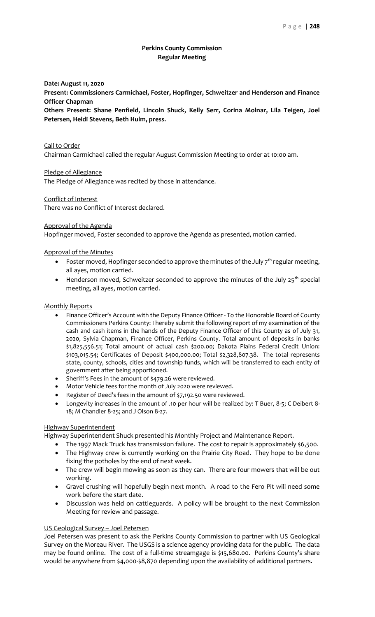# **Perkins County Commission Regular Meeting**

#### **Date: August 11, 2020**

**Present: Commissioners Carmichael, Foster, Hopfinger, Schweitzer and Henderson and Finance Officer Chapman**

**Others Present: Shane Penfield, Lincoln Shuck, Kelly Serr, Corina Molnar, Lila Teigen, Joel Petersen, Heidi Stevens, Beth Hulm, press.**

# Call to Order Chairman Carmichael called the regular August Commission Meeting to order at 10:00 am.

Pledge of Allegiance

The Pledge of Allegiance was recited by those in attendance.

### Conflict of Interest

There was no Conflict of Interest declared.

### Approval of the Agenda

Hopfinger moved, Foster seconded to approve the Agenda as presented, motion carried.

### Approval of the Minutes

- Foster moved, Hopfinger seconded to approve the minutes of the July  $7^{th}$  regular meeting, all ayes, motion carried.
- Henderson moved, Schweitzer seconded to approve the minutes of the July  $25^{th}$  special meeting, all ayes, motion carried.

### Monthly Reports

- Finance Officer's Account with the Deputy Finance Officer To the Honorable Board of County Commissioners Perkins County: I hereby submit the following report of my examination of the cash and cash items in the hands of the Deputy Finance Officer of this County as of July 31, 2020, Sylvia Chapman, Finance Officer, Perkins County. Total amount of deposits in banks \$1,825,556.51; Total amount of actual cash \$200.00; Dakota Plains Federal Credit Union: \$103,015.54; Certificates of Deposit \$400,000.00; Total \$2,328,807.38. The total represents state, county, schools, cities and township funds, which will be transferred to each entity of government after being apportioned.
- Sheriff's Fees in the amount of \$479.26 were reviewed.
- Motor Vehicle fees for the month of July 2020 were reviewed.
- Register of Deed's fees in the amount of \$7,192.50 were reviewed.
- Longevity increases in the amount of .10 per hour will be realized by: T Buer, 8-5; C Deibert 8- 18; M Chandler 8-25; and J Olson 8-27.

### Highway Superintendent

Highway Superintendent Shuck presented his Monthly Project and Maintenance Report.

- The 1997 Mack Truck has transmission failure. The cost to repair is approximately \$6,500.
- The Highway crew is currently working on the Prairie City Road. They hope to be done fixing the potholes by the end of next week.
- The crew will begin mowing as soon as they can. There are four mowers that will be out working.
- Gravel crushing will hopefully begin next month. A road to the Fero Pit will need some work before the start date.
- Discussion was held on cattleguards. A policy will be brought to the next Commission Meeting for review and passage.

#### US Geological Survey – Joel Petersen

Joel Petersen was present to ask the Perkins County Commission to partner with US Geological Survey on the Moreau River. The USGS is a science agency providing data for the public. The data may be found online. The cost of a full-time streamgage is \$15,680.00. Perkins County's share would be anywhere from \$4,000-\$8,870 depending upon the availability of additional partners.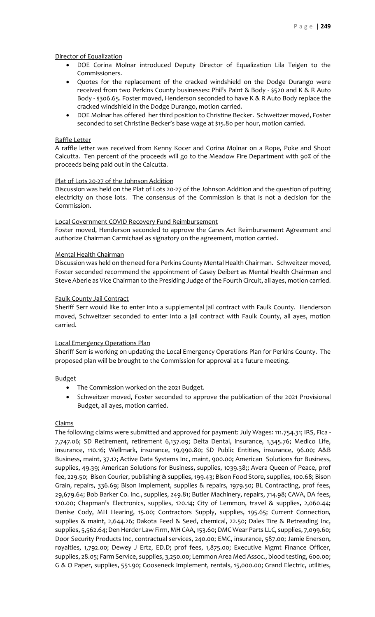## Director of Equalization

- DOE Corina Molnar introduced Deputy Director of Equalization Lila Teigen to the Commissioners.
- Quotes for the replacement of the cracked windshield on the Dodge Durango were received from two Perkins County businesses: Phil's Paint & Body - \$520 and K & R Auto Body - \$306.65. Foster moved, Henderson seconded to have K & R Auto Body replace the cracked windshield in the Dodge Durango, motion carried.
- DOE Molnar has offered her third position to Christine Becker. Schweitzer moved, Foster seconded to set Christine Becker's base wage at \$15.80 per hour, motion carried.

### Raffle Letter

A raffle letter was received from Kenny Kocer and Corina Molnar on a Rope, Poke and Shoot Calcutta. Ten percent of the proceeds will go to the Meadow Fire Department with 90% of the proceeds being paid out in the Calcutta.

### Plat of Lots 20-27 of the Johnson Addition

Discussion was held on the Plat of Lots 20-27 of the Johnson Addition and the question of putting electricity on those lots. The consensus of the Commission is that is not a decision for the Commission.

### Local Government COVID Recovery Fund Reimbursement

Foster moved, Henderson seconded to approve the Cares Act Reimbursement Agreement and authorize Chairman Carmichael as signatory on the agreement, motion carried.

### Mental Health Chairman

Discussion was held on the need for a Perkins County Mental Health Chairman. Schweitzer moved, Foster seconded recommend the appointment of Casey Deibert as Mental Health Chairman and Steve Aberle as Vice Chairman to the Presiding Judge of the Fourth Circuit, all ayes, motion carried.

### Faulk County Jail Contract

Sheriff Serr would like to enter into a supplemental jail contract with Faulk County. Henderson moved, Schweitzer seconded to enter into a jail contract with Faulk County, all ayes, motion carried.

## Local Emergency Operations Plan

Sheriff Serr is working on updating the Local Emergency Operations Plan for Perkins County. The proposed plan will be brought to the Commission for approval at a future meeting.

#### Budget

- The Commission worked on the 2021 Budget.
- Schweitzer moved, Foster seconded to approve the publication of the 2021 Provisional Budget, all ayes, motion carried.

# Claims

The following claims were submitted and approved for payment: July Wages: 111.754.31; IRS, Fica - 7,747.06; SD Retirement, retirement 6,137.09; Delta Dental, insurance, 1,345.76; Medico Life, insurance, 110.16; Wellmark, insurance, 19,990.80; SD Public Entities, insurance, 96.00; A&B Business, maint, 37.12; Active Data Systems Inc, maint, 900.00; American Solutions for Business, supplies, 49.39; American Solutions for Business, supplies, 1039.38;; Avera Queen of Peace, prof fee, 229.50; Bison Courier, publishing & supplies, 199.43; Bison Food Store, supplies, 100.68; Bison Grain, repairs, 336.69; Bison Implement, supplies & repairs, 1979.50; BL Contracting, prof fees, 29,679.64; Bob Barker Co. Inc., supplies, 249.81; Butler Machinery, repairs, 714.98; CAVA, DA fees, 120.00; Chapman's Electronics, supplies, 120.14; City of Lemmon, travel & supplies, 2,060.44; Denise Cody, MH Hearing, 15.00; Contractors Supply, supplies, 195.65; Current Connection, supplies & maint, 2,644.26; Dakota Feed & Seed, chemical, 22.50; Dales Tire & Retreading Inc, supplies, 5,562.64; Den Herder Law Firm, MH CAA, 153.60; DMC Wear Parts LLC, supplies, 7,099.60; Door Security Products Inc, contractual services, 240.00; EMC, insurance, 587.00; Jamie Enerson, royalties, 1,792.00; Dewey J Ertz, ED.D; prof fees, 1,875.00; Executive Mgmt Finance Officer, supplies, 28.05; Farm Service, supplies, 3,250.00; Lemmon Area Med Assoc., blood testing, 600.00; G & O Paper, supplies, 551.90; Gooseneck Implement, rentals, 15,000.00; Grand Electric, utilities,